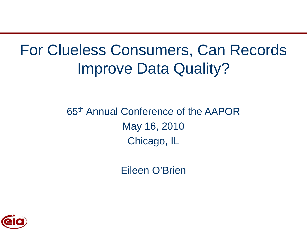# For Clueless Consumers, Can Records Improve Data Quality?

65th Annual Conference of the AAPOR May 16, 2010 Chicago, IL

Eileen O'Brien

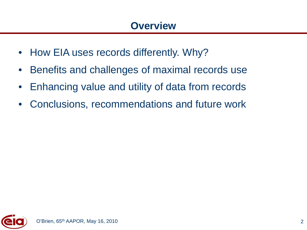- How EIA uses records differently. Why?
- Benefits and challenges of maximal records use
- Enhancing value and utility of data from records
- Conclusions, recommendations and future work

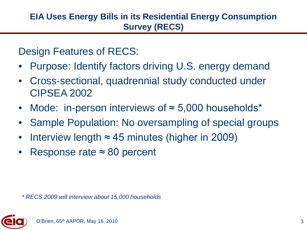Design Features of RECS:

- Purpose: Identify factors driving U.S. energy demand
- Cross-sectional, quadrennial study conducted under CIPSEA 2002
- Mode: in-person interviews of ≈ 5,000 households\*
- Sample Population: No oversampling of special groups
- Interview length  $\approx$  45 minutes (higher in 2009)
- Response rate  $≈ 80$  percent

*\* RECS 2009 will interview about 15,000 households*

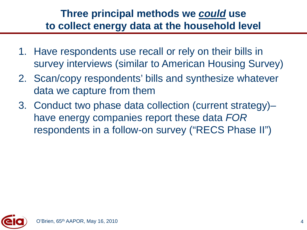## **Three principal methods we** *could* **use to collect energy data at the household level**

- 1. Have respondents use recall or rely on their bills in survey interviews (similar to American Housing Survey)
- 2. Scan/copy respondents' bills and synthesize whatever data we capture from them
- 3. Conduct two phase data collection (current strategy)– have energy companies report these data *FOR* respondents in a follow-on survey ("RECS Phase II")

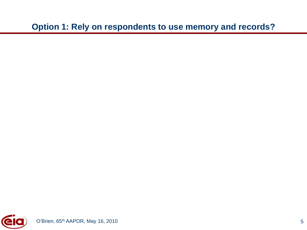**Option 1: Rely on respondents to use memory and records?**

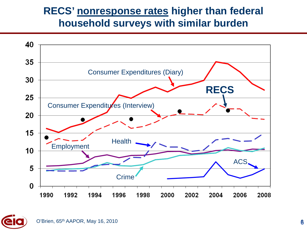## **RECS' nonresponse rates higher than federal household surveys with similar burden**



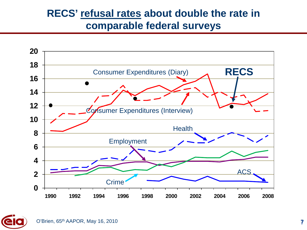## **RECS' refusal rates about double the rate in comparable federal surveys**



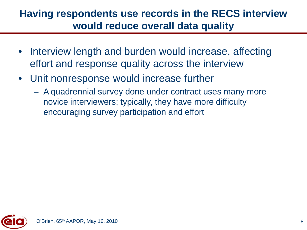## **Having respondents use records in the RECS interview would reduce overall data quality**

- Interview length and burden would increase, affecting effort and response quality across the interview
- Unit nonresponse would increase further
	- A quadrennial survey done under contract uses many more novice interviewers; typically, they have more difficulty encouraging survey participation and effort

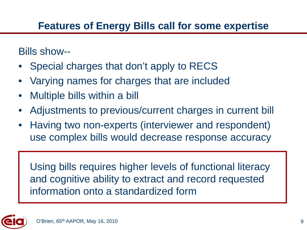# **Features of Energy Bills call for some expertise**

Bills show--

- Special charges that don't apply to RECS
- Varying names for charges that are included
- Multiple bills within a bill
- Adjustments to previous/current charges in current bill
- Having two non-experts (interviewer and respondent) use complex bills would decrease response accuracy

Using bills requires higher levels of functional literacy and cognitive ability to extract and record requested information onto a standardized form

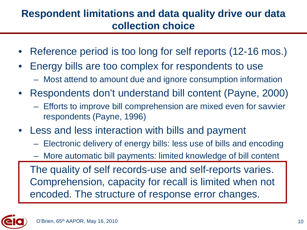## **Respondent limitations and data quality drive our data collection choice**

- Reference period is too long for self reports (12-16 mos.)
- Energy bills are too complex for respondents to use
	- Most attend to amount due and ignore consumption information
- Respondents don't understand bill content (Payne, 2000)
	- Efforts to improve bill comprehension are mixed even for savvier respondents (Payne, 1996)
- Less and less interaction with bills and payment
	- Electronic delivery of energy bills: less use of bills and encoding
	- More automatic bill payments: limited knowledge of bill content

The quality of self records-use and self-reports varies. Comprehension, capacity for recall is limited when not encoded. The structure of response error changes.

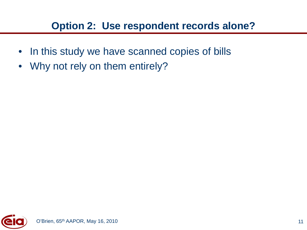# **Option 2: Use respondent records alone?**

- In this study we have scanned copies of bills
- Why not rely on them entirely?

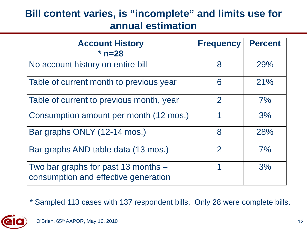## **Bill content varies, is "incomplete" and limits use for annual estimation**

| <b>Account History</b><br>$*$ n=28                                          | <b>Frequency</b> | <b>Percent</b> |
|-----------------------------------------------------------------------------|------------------|----------------|
| No account history on entire bill                                           | 8                | 29%            |
| Table of current month to previous year                                     | 6                | 21%            |
| Table of current to previous month, year                                    | $\overline{2}$   | 7%             |
| Consumption amount per month (12 mos.)                                      |                  | 3%             |
| Bar graphs ONLY (12-14 mos.)                                                | 8                | 28%            |
| Bar graphs AND table data (13 mos.)                                         | $\mathcal{P}$    | 7%             |
| Two bar graphs for past 13 months -<br>consumption and effective generation | 1                | 3%             |

\* Sampled 113 cases with 137 respondent bills. Only 28 were complete bills.

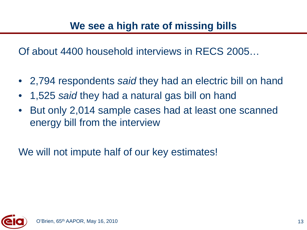Of about 4400 household interviews in RECS 2005…

- 2,794 respondents *said* they had an electric bill on hand
- 1,525 *said* they had a natural gas bill on hand
- But only 2,014 sample cases had at least one scanned energy bill from the interview

We will not impute half of our key estimates!

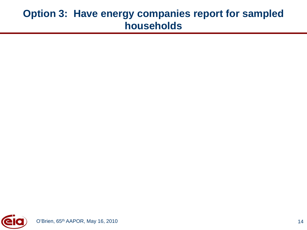#### **Option 3: Have energy companies report for sampled households**

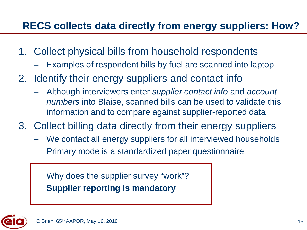# **RECS collects data directly from energy suppliers: How?**

- 1. Collect physical bills from household respondents
	- Examples of respondent bills by fuel are scanned into laptop
- 2. Identify their energy suppliers and contact info
	- Although interviewers enter *supplier contact info* and *account numbers* into Blaise, scanned bills can be used to validate this information and to compare against supplier-reported data
- 3. Collect billing data directly from their energy suppliers
	- We contact all energy suppliers for all interviewed households
	- Primary mode is a standardized paper questionnaire

Why does the supplier survey "work"? **Supplier reporting is mandatory**

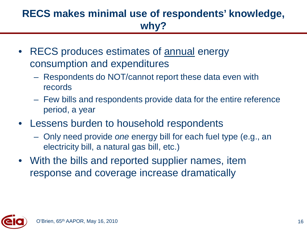# **RECS makes minimal use of respondents' knowledge, why?**

- RECS produces estimates of annual energy consumption and expenditures
	- Respondents do NOT/cannot report these data even with records
	- Few bills and respondents provide data for the entire reference period, a year
- Lessens burden to household respondents
	- Only need provide *one* energy bill for each fuel type (e.g., an electricity bill, a natural gas bill, etc.)
- With the bills and reported supplier names, item response and coverage increase dramatically

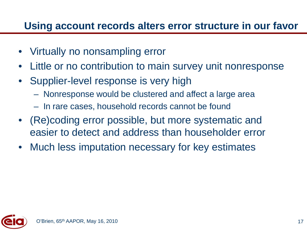## **Using account records alters error structure in our favor**

- Virtually no nonsampling error
- Little or no contribution to main survey unit nonresponse
- Supplier-level response is very high
	- Nonresponse would be clustered and affect a large area
	- In rare cases, household records cannot be found
- (Re)coding error possible, but more systematic and easier to detect and address than householder error
- Much less imputation necessary for key estimates

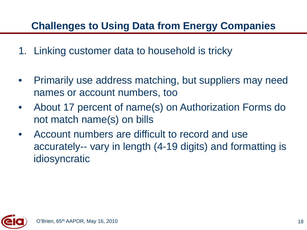# **Challenges to Using Data from Energy Companies**

- 1. Linking customer data to household is tricky
- Primarily use address matching, but suppliers may need names or account numbers, too
- About 17 percent of name(s) on Authorization Forms do not match name(s) on bills
- Account numbers are difficult to record and use accurately-- vary in length (4-19 digits) and formatting is idiosyncratic

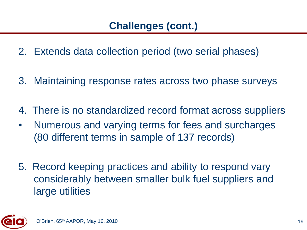- 2. Extends data collection period (two serial phases)
- 3. Maintaining response rates across two phase surveys
- 4. There is no standardized record format across suppliers
- Numerous and varying terms for fees and surcharges (80 different terms in sample of 137 records)
- 5. Record keeping practices and ability to respond vary considerably between smaller bulk fuel suppliers and large utilities

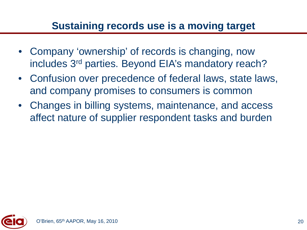## **Sustaining records use is a moving target**

- Company 'ownership' of records is changing, now includes 3rd parties. Beyond EIA's mandatory reach?
- Confusion over precedence of federal laws, state laws, and company promises to consumers is common
- Changes in billing systems, maintenance, and access affect nature of supplier respondent tasks and burden

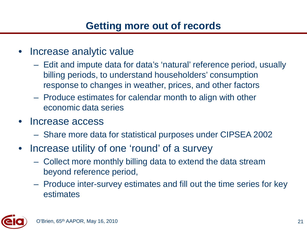# **Getting more out of records**

- Increase analytic value
	- Edit and impute data for data's 'natural' reference period, usually billing periods, to understand householders' consumption response to changes in weather, prices, and other factors
	- Produce estimates for calendar month to align with other economic data series
- Increase access
	- Share more data for statistical purposes under CIPSEA 2002
- Increase utility of one 'round' of a survey
	- Collect more monthly billing data to extend the data stream beyond reference period,
	- Produce inter-survey estimates and fill out the time series for key estimates

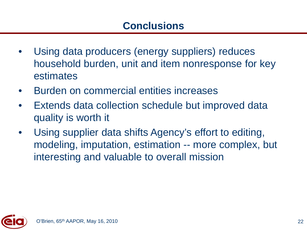- Using data producers (energy suppliers) reduces household burden, unit and item nonresponse for key estimates
- Burden on commercial entities increases
- Extends data collection schedule but improved data quality is worth it
- Using supplier data shifts Agency's effort to editing, modeling, imputation, estimation -- more complex, but interesting and valuable to overall mission

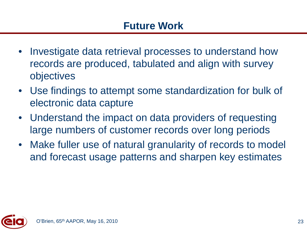- Investigate data retrieval processes to understand how records are produced, tabulated and align with survey objectives
- Use findings to attempt some standardization for bulk of electronic data capture
- Understand the impact on data providers of requesting large numbers of customer records over long periods
- Make fuller use of natural granularity of records to model and forecast usage patterns and sharpen key estimates